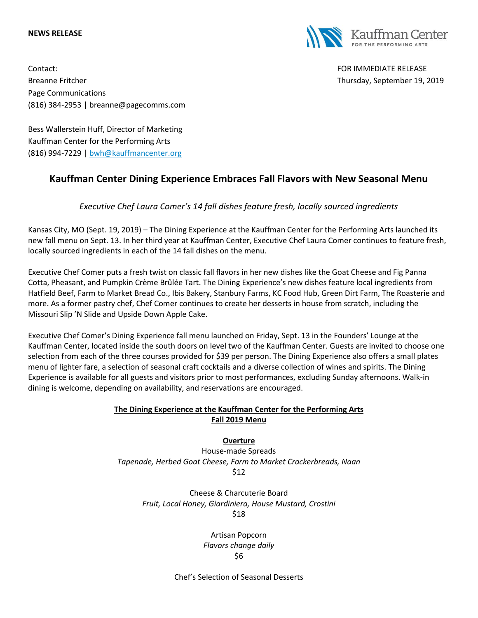#### **NEWS RELEASE**

Contact: FOR IMMEDIATE RELEASE Breanne Fritcher Thursday, September 19, 2019 Page Communications (816) 384-2953 | breanne@pagecomms.com



Bess Wallerstein Huff, Director of Marketing Kauffman Center for the Performing Arts (816) 994-7229 | [bwh@kauffmancenter.org](mailto:bwh@kauffmancenter.org)

# **Kauffman Center Dining Experience Embraces Fall Flavors with New Seasonal Menu**

*Executive Chef Laura Comer's 14 fall dishes feature fresh, locally sourced ingredients*

Kansas City, MO (Sept. 19, 2019) – The Dining Experience at the Kauffman Center for the Performing Arts launched its new fall menu on Sept. 13. In her third year at Kauffman Center, Executive Chef Laura Comer continues to feature fresh, locally sourced ingredients in each of the 14 fall dishes on the menu.

Executive Chef Comer puts a fresh twist on classic fall flavors in her new dishes like the Goat Cheese and Fig Panna Cotta, Pheasant, and Pumpkin Crème Brûlée Tart. The Dining Experience's new dishes feature local ingredients from Hatfield Beef, Farm to Market Bread Co., Ibis Bakery, Stanbury Farms, KC Food Hub, Green Dirt Farm, The Roasterie and more. As a former pastry chef, Chef Comer continues to create her desserts in house from scratch, including the Missouri Slip 'N Slide and Upside Down Apple Cake.

Executive Chef Comer's Dining Experience fall menu launched on Friday, Sept. 13 in the Founders' Lounge at the Kauffman Center, located inside the south doors on level two of the Kauffman Center. Guests are invited to choose one selection from each of the three courses provided for \$39 per person. The Dining Experience also offers a small plates menu of lighter fare, a selection of seasonal craft cocktails and a diverse collection of wines and spirits. The Dining Experience is available for all guests and visitors prior to most performances, excluding Sunday afternoons. Walk-in dining is welcome, depending on availability, and reservations are encouraged.

# **The Dining Experience at the Kauffman Center for the Performing Arts Fall 2019 Menu**

### **Overture**

House-made Spreads *Tapenade, Herbed Goat Cheese, Farm to Market Crackerbreads, Naan* \$12

Cheese & Charcuterie Board *Fruit, Local Honey, Giardiniera, House Mustard, Crostini* \$18

> Artisan Popcorn *Flavors change daily* \$6

Chef's Selection of Seasonal Desserts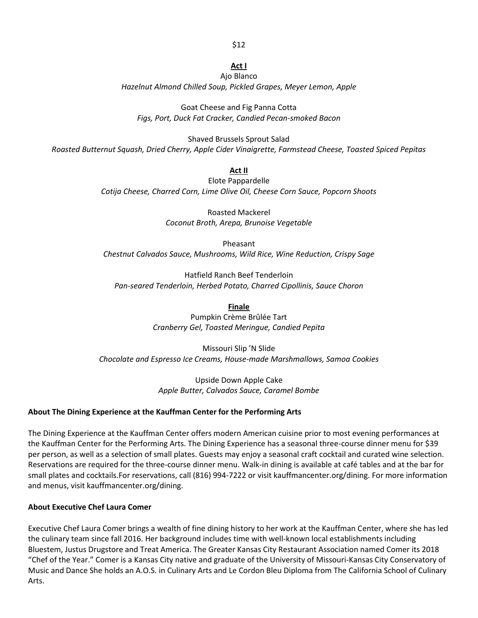#### \$12

#### **Act I**

Ajo Blanco *Hazelnut Almond Chilled Soup, Pickled Grapes, Meyer Lemon, Apple*

Goat Cheese and Fig Panna Cotta *Figs, Port, Duck Fat Cracker, Candied Pecan-smoked Bacon*

Shaved Brussels Sprout Salad *Roasted Butternut Squash, Dried Cherry, Apple Cider Vinaigrette, Farmstead Cheese, Toasted Spiced Pepitas*

**Act II**

Elote Pappardelle *Cotija Cheese, Charred Corn, Lime Olive Oil, Cheese Corn Sauce, Popcorn Shoots*

> Roasted Mackerel *Coconut Broth, Arepa, Brunoise Vegetable*

Pheasant *Chestnut Calvados Sauce, Mushrooms, Wild Rice, Wine Reduction, Crispy Sage*

Hatfield Ranch Beef Tenderloin *Pan-seared Tenderloin, Herbed Potato, Charred Cipollinis, Sauce Choron*

**Finale**

Pumpkin Crème Brûlée Tart *Cranberry Gel, Toasted Meringue, Candied Pepita*

Missouri Slip 'N Slide *Chocolate and Espresso Ice Creams, House-made Marshmallows, Samoa Cookies*

> Upside Down Apple Cake *Apple Butter, Calvados Sauce, Caramel Bombe*

# **About The Dining Experience at the Kauffman Center for the Performing Arts**

The Dining Experience at the Kauffman Center offers modern American cuisine prior to most evening performances at the Kauffman Center for the Performing Arts. The Dining Experience has a seasonal three-course dinner menu for \$39 per person, as well as a selection of small plates. Guests may enjoy a seasonal craft cocktail and curated wine selection. Reservations are required for the three-course dinner menu. Walk-in dining is available at café tables and at the bar for small plates and cocktails.For reservations, call (816) 994-7222 or visit kauffmancenter.org/dining. For more information and menus, visit kauffmancenter.org/dining.

### **About Executive Chef Laura Comer**

Executive Chef Laura Comer brings a wealth of fine dining history to her work at the Kauffman Center, where she has led the culinary team since fall 2016. Her background includes time with well-known local establishments including Bluestem, Justus Drugstore and Treat America. The Greater Kansas City Restaurant Association named Comer its 2018 "Chef of the Year." Comer is a Kansas City native and graduate of the University of Missouri-Kansas City Conservatory of Music and Dance She holds an A.O.S. in Culinary Arts and Le Cordon Bleu Diploma from The California School of Culinary Arts.